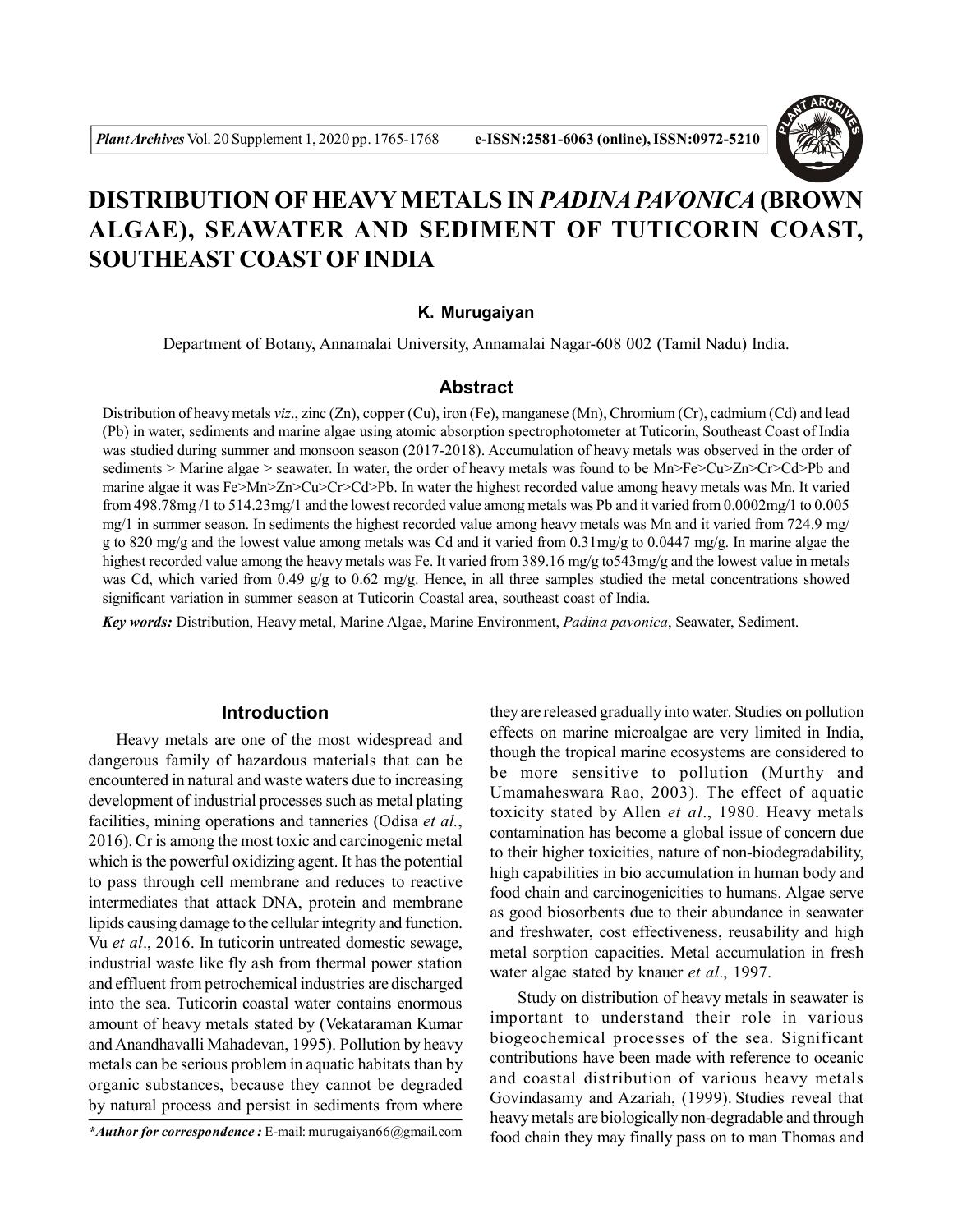

# **DISTRIBUTION OF HEAVY METALS IN** *PADINA PAVONICA* **(BROWN ALGAE), SEAWATER AND SEDIMENT OF TUTICORIN COAST, SOUTHEAST COAST OF INDIA**

#### **K. Murugaiyan**

Department of Botany, Annamalai University, Annamalai Nagar-608 002 (Tamil Nadu) India.

#### **Abstract**

Distribution of heavy metals *viz*., zinc (Zn), copper (Cu), iron (Fe), manganese (Mn), Chromium (Cr), cadmium (Cd) and lead (Pb) in water, sediments and marine algae using atomic absorption spectrophotometer at Tuticorin, Southeast Coast of India was studied during summer and monsoon season (2017-2018). Accumulation of heavy metals was observed in the order of sediments > Marine algae > seawater. In water, the order of heavy metals was found to be Mn>Fe>Cu>Zn>Cr>Cd>Pb and marine algae it was Fe>Mn>Zn>Cu>Cr>Cd>Pb. In water the highest recorded value among heavy metals was Mn. It varied from 498.78mg /1 to 514.23mg/1 and the lowest recorded value among metals was Pb and it varied from 0.0002mg/1 to 0.005 mg/1 in summer season. In sediments the highest recorded value among heavy metals was Mn and it varied from 724.9 mg/ g to 820 mg/g and the lowest value among metals was Cd and it varied from  $0.31$  mg/g to  $0.0447$  mg/g. In marine algae the highest recorded value among the heavy metals was Fe. It varied from 389.16 mg/g to543mg/g and the lowest value in metals was Cd, which varied from 0.49 g/g to 0.62 mg/g. Hence, in all three samples studied the metal concentrations showed significant variation in summer season at Tuticorin Coastal area, southeast coast of India.

*Key words:* Distribution, Heavy metal, Marine Algae, Marine Environment, *Padina pavonica*, Seawater, Sediment.

#### **Introduction**

Heavy metals are one of the most widespread and dangerous family of hazardous materials that can be encountered in natural and waste waters due to increasing development of industrial processes such as metal plating facilities, mining operations and tanneries (Odisa *et al.*, 2016). Cr is among the most toxic and carcinogenic metal which is the powerful oxidizing agent. It has the potential to pass through cell membrane and reduces to reactive intermediates that attack DNA, protein and membrane lipids causing damage to the cellular integrity and function. Vu *et al*., 2016. In tuticorin untreated domestic sewage, industrial waste like fly ash from thermal power station and effluent from petrochemical industries are discharged into the sea. Tuticorin coastal water contains enormous amount of heavy metals stated by (Vekataraman Kumar and Anandhavalli Mahadevan, 1995). Pollution by heavy metals can be serious problem in aquatic habitats than by organic substances, because they cannot be degraded by natural process and persist in sediments from where

they are released gradually into water. Studies on pollution effects on marine microalgae are very limited in India, though the tropical marine ecosystems are considered to be more sensitive to pollution (Murthy and Umamaheswara Rao, 2003). The effect of aquatic toxicity stated by Allen *et al*., 1980. Heavy metals contamination has become a global issue of concern due to their higher toxicities, nature of non-biodegradability, high capabilities in bio accumulation in human body and food chain and carcinogenicities to humans. Algae serve as good biosorbents due to their abundance in seawater and freshwater, cost effectiveness, reusability and high metal sorption capacities. Metal accumulation in fresh water algae stated by knauer *et al*., 1997.

Study on distribution of heavy metals in seawater is important to understand their role in various biogeochemical processes of the sea. Significant contributions have been made with reference to oceanic and coastal distribution of various heavy metals Govindasamy and Azariah, (1999). Studies reveal that heavy metals are biologically non-degradable and through food chain they may finally pass on to man Thomas and

*<sup>\*</sup>Author for correspondence :* E-mail: murugaiyan66@gmail.com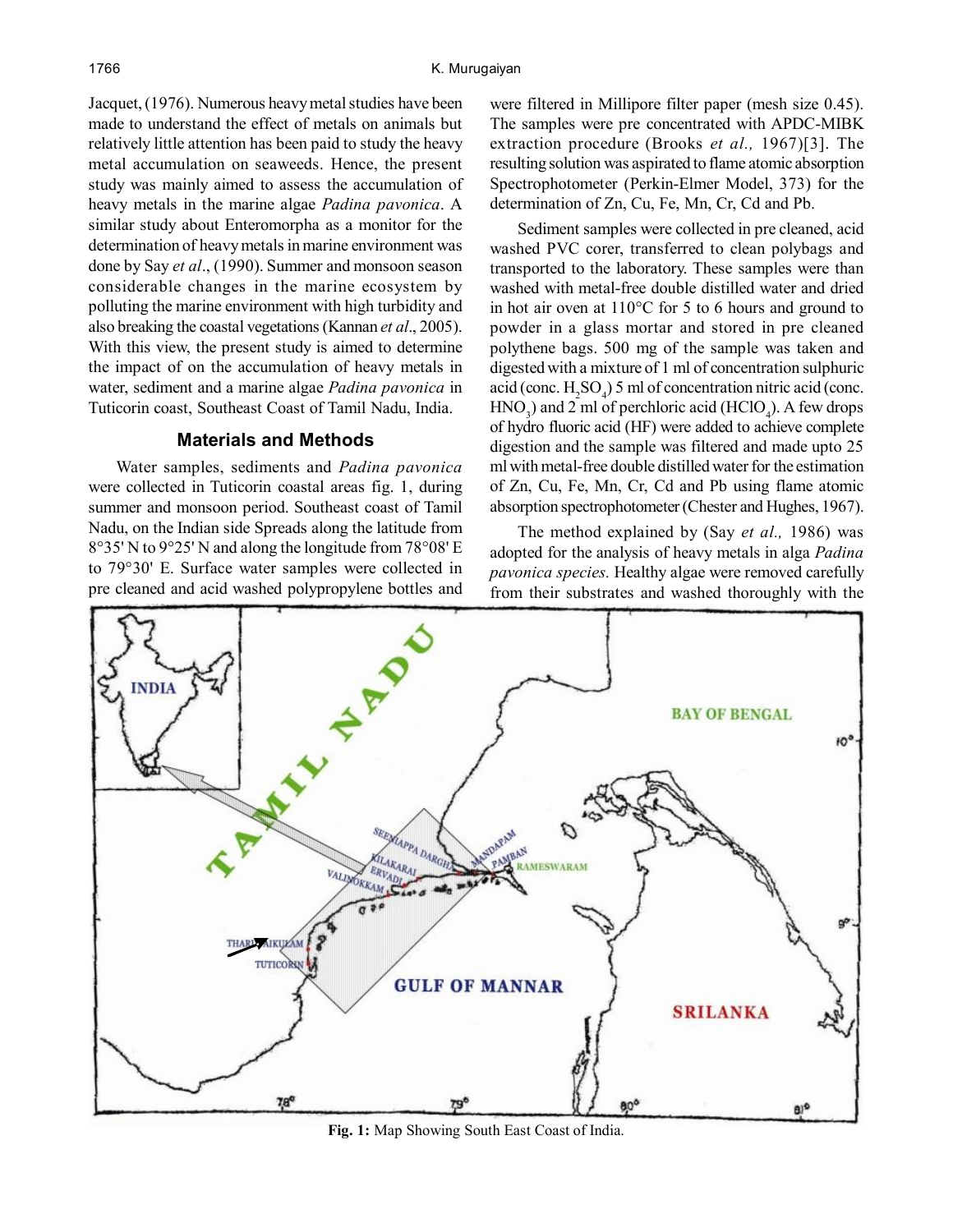Jacquet, (1976). Numerous heavy metal studies have been made to understand the effect of metals on animals but relatively little attention has been paid to study the heavy metal accumulation on seaweeds. Hence, the present study was mainly aimed to assess the accumulation of heavy metals in the marine algae *Padina pavonica*. A similar study about Enteromorpha as a monitor for the determination of heavy metals in marine environment was done by Say *et al*., (1990). Summer and monsoon season considerable changes in the marine ecosystem by polluting the marine environment with high turbidity and also breaking the coastal vegetations (Kannan *et al*., 2005). With this view, the present study is aimed to determine the impact of on the accumulation of heavy metals in water, sediment and a marine algae *Padina pavonica* in Tuticorin coast, Southeast Coast of Tamil Nadu, India.

# **Materials and Methods**

Water samples, sediments and *Padina pavonica* were collected in Tuticorin coastal areas fig. 1, during summer and monsoon period. Southeast coast of Tamil Nadu, on the Indian side Spreads along the latitude from 8°35' N to 9°25' N and along the longitude from 78°08' E to 79°30' E. Surface water samples were collected in pre cleaned and acid washed polypropylene bottles and were filtered in Millipore filter paper (mesh size 0.45). The samples were pre concentrated with APDC-MIBK extraction procedure (Brooks *et al.,* 1967)[3]. The resulting solution was aspirated to flame atomic absorption Spectrophotometer (Perkin-Elmer Model, 373) for the determination of Zn, Cu, Fe, Mn, Cr, Cd and Pb.

Sediment samples were collected in pre cleaned, acid washed PVC corer, transferred to clean polybags and transported to the laboratory. These samples were than washed with metal-free double distilled water and dried in hot air oven at 110°C for 5 to 6 hours and ground to powder in a glass mortar and stored in pre cleaned polythene bags. 500 mg of the sample was taken and digested with a mixture of 1 ml of concentration sulphuric acid (conc.  $H_2SO_4$ ) 5 ml of concentration nitric acid (conc.  $HNO<sub>3</sub>$ ) and 2 ml of perchloric acid (HClO<sub>4</sub>). A few drops of hydro fluoric acid (HF) were added to achieve complete digestion and the sample was filtered and made upto 25 ml with metal-free double distilled water for the estimation of Zn, Cu, Fe, Mn, Cr, Cd and Pb using flame atomic absorption spectrophotometer (Chester and Hughes, 1967).

The method explained by (Say *et al.,* 1986) was adopted for the analysis of heavy metals in alga *Padina pavonica species.* Healthy algae were removed carefully from their substrates and washed thoroughly with the



**Fig. 1:** Map Showing South East Coast of India.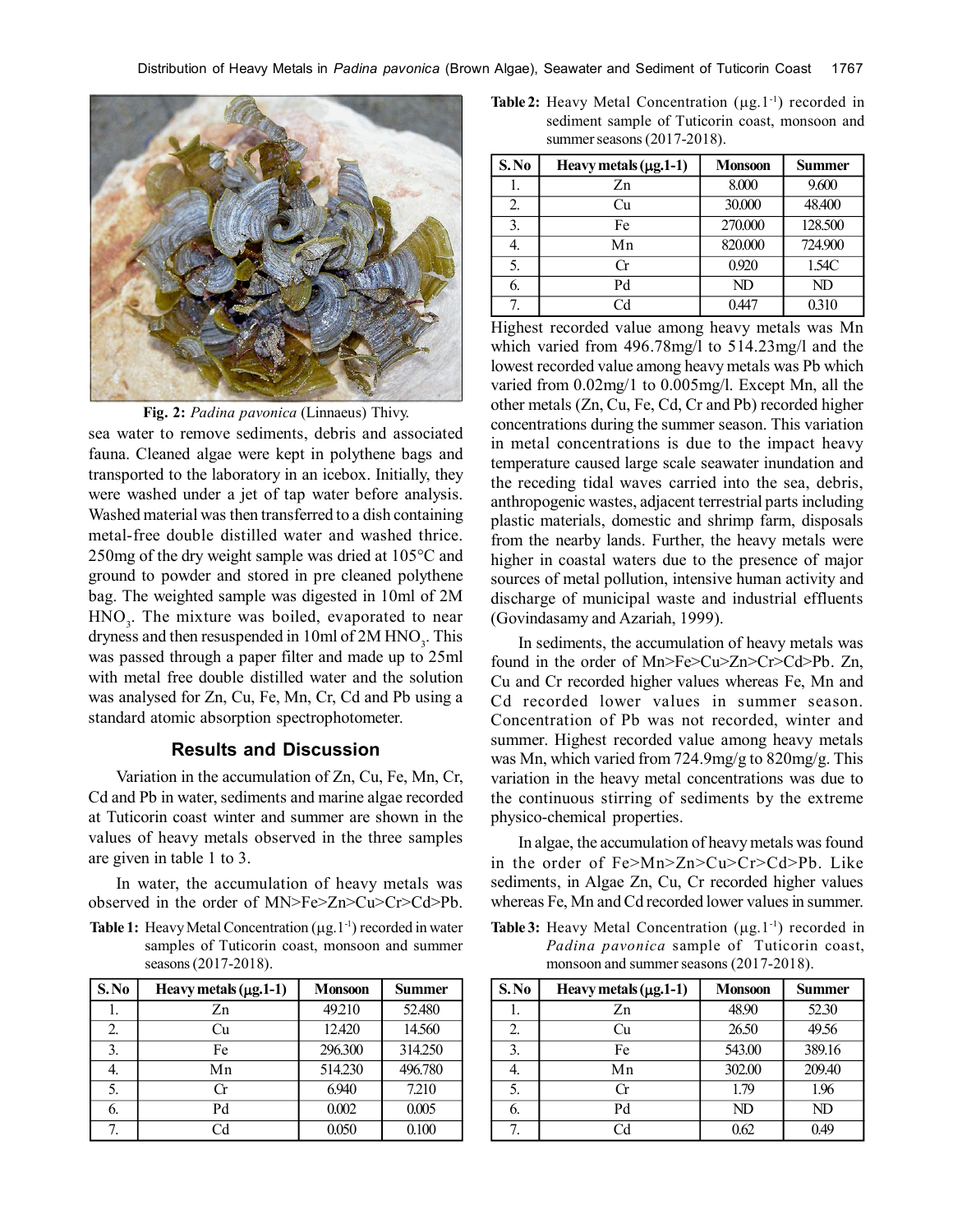

**Fig. 2:** *Padina pavonica* (Linnaeus) Thivy.

sea water to remove sediments, debris and associated fauna. Cleaned algae were kept in polythene bags and transported to the laboratory in an icebox. Initially, they were washed under a jet of tap water before analysis. Washed material was then transferred to a dish containing metal-free double distilled water and washed thrice. 250mg of the dry weight sample was dried at 105°C and ground to powder and stored in pre cleaned polythene bag. The weighted sample was digested in 10ml of 2M  $HNO<sub>3</sub>$ . The mixture was boiled, evaporated to near dryness and then resuspended in  $10ml$  of  $2M HNO<sub>3</sub>$ . This was passed through a paper filter and made up to 25ml with metal free double distilled water and the solution was analysed for Zn, Cu, Fe, Mn, Cr, Cd and Pb using a standard atomic absorption spectrophotometer.

### **Results and Discussion**

Variation in the accumulation of Zn, Cu, Fe, Mn, Cr, Cd and Pb in water, sediments and marine algae recorded at Tuticorin coast winter and summer are shown in the values of heavy metals observed in the three samples are given in table 1 to 3.

In water, the accumulation of heavy metals was observed in the order of MN>Fe>Zn>Cu>Cr>Cd>Pb.

**Table 1:** Heavy Metal Concentration  $(\mu g, 1^{-1})$  recorded in water samples of Tuticorin coast, monsoon and summer seasons (2017-2018).

| S. No | Heavy metals $(\mu$ g. 1-1) | <b>Monsoon</b> | <b>Summer</b> |
|-------|-----------------------------|----------------|---------------|
|       | Zn                          | 49.210         | 52.480        |
| 2.    | Cu                          | 12.420         | 14.560        |
| 3.    | Fe                          | 296.300        | 314.250       |
| 4.    | Mn                          | 514.230        | 496.780       |
| 5.    | Сr                          | 6.940          | 7.210         |
| 6.    | Pd                          | 0.002          | 0.005         |
| 7     | Cd                          | 0.050          | 0.100         |

**Table 2:** Heavy Metal Concentration  $(\mu g.1^{-1})$  recorded in sediment sample of Tuticorin coast, monsoon and summer seasons (2017-2018).

| S.No | Heavy metals $(\mu$ g. 1-1) | <b>Monsoon</b> | <b>Summer</b> |
|------|-----------------------------|----------------|---------------|
|      | Zn                          | 8.000          | 9.600         |
| 2.   | Сu                          | 30,000         | 48.400        |
| 3.   | Fe                          | 270.000        | 128.500       |
| 4.   | Mn                          | 820.000        | 724.900       |
| 5.   | Сr                          | 0.920          | 1.54C         |
| 6.   | Pd                          | ND             | ND            |
| 7    | Сd                          | 0447           | 0.310         |

Highest recorded value among heavy metals was Mn which varied from 496.78mg/l to 514.23mg/l and the lowest recorded value among heavy metals was Pb which varied from 0.02mg/1 to 0.005mg/l. Except Mn, all the other metals (Zn, Cu, Fe, Cd, Cr and Pb) recorded higher concentrations during the summer season. This variation in metal concentrations is due to the impact heavy temperature caused large scale seawater inundation and the receding tidal waves carried into the sea, debris, anthropogenic wastes, adjacent terrestrial parts including plastic materials, domestic and shrimp farm, disposals from the nearby lands. Further, the heavy metals were higher in coastal waters due to the presence of major sources of metal pollution, intensive human activity and discharge of municipal waste and industrial effluents (Govindasamy and Azariah, 1999).

In sediments, the accumulation of heavy metals was found in the order of Mn>Fe>Cu>Zn>Cr>Cd>Pb. Zn, Cu and Cr recorded higher values whereas Fe, Mn and Cd recorded lower values in summer season. Concentration of Pb was not recorded, winter and summer. Highest recorded value among heavy metals was Mn, which varied from 724.9mg/g to 820mg/g. This variation in the heavy metal concentrations was due to the continuous stirring of sediments by the extreme physico-chemical properties.

In algae, the accumulation of heavy metals was found in the order of Fe>Mn>Zn>Cu>Cr>Cd>Pb. Like sediments, in Algae Zn, Cu, Cr recorded higher values whereas Fe, Mn and Cd recorded lower values in summer.

**Table 3:** Heavy Metal Concentration  $(\mu g, 1^{-1})$  recorded in *Padina pavonica* sample of Tuticorin coast, monsoon and summer seasons (2017-2018).

| S.No | Heavy metals $(\mu g.1-1)$ | <b>Monsoon</b> | <b>Summer</b> |
|------|----------------------------|----------------|---------------|
|      | Zn                         | 48.90          | 52.30         |
| 2.   | ∴u                         | 26.50          | 49.56         |
| 3.   | Fe                         | 543.00         | 389.16        |
| 4.   | Mn                         | 302.00         | 209.40        |
| 5.   | Сr                         | 1.79           | 1.96          |
| 6.   | Pd                         | ND             | ND            |
| 7    | Сd                         | 0.62           | 0.49          |